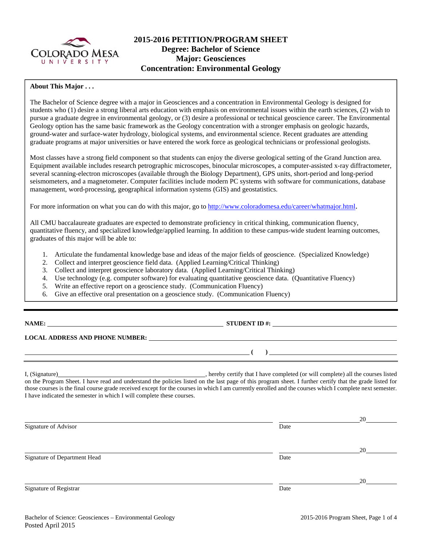

# **2015-2016 PETITION/PROGRAM SHEET Degree: Bachelor of Science Major: Geosciences Concentration: Environmental Geology**

#### **About This Major . . .**

The Bachelor of Science degree with a major in Geosciences and a concentration in Environmental Geology is designed for students who (1) desire a strong liberal arts education with emphasis on environmental issues within the earth sciences, (2) wish to pursue a graduate degree in environmental geology, or (3) desire a professional or technical geoscience career. The Environmental Geology option has the same basic framework as the Geology concentration with a stronger emphasis on geologic hazards, ground-water and surface-water hydrology, biological systems, and environmental science. Recent graduates are attending graduate programs at major universities or have entered the work force as geological technicians or professional geologists.

Most classes have a strong field component so that students can enjoy the diverse geological setting of the Grand Junction area. Equipment available includes research petrographic microscopes, binocular microscopes, a computer-assisted x-ray diffractometer, several scanning-electron microscopes (available through the Biology Department), GPS units, short-period and long-period seismometers, and a magnetometer. Computer facilities include modern PC systems with software for communications, database management, word-processing, geographical information systems (GIS) and geostatistics.

For more information on what you can do with this major, go to http://www.coloradomesa.edu/career/whatmajor.html.

All CMU baccalaureate graduates are expected to demonstrate proficiency in critical thinking, communication fluency, quantitative fluency, and specialized knowledge/applied learning. In addition to these campus-wide student learning outcomes, graduates of this major will be able to:

- 1. Articulate the fundamental knowledge base and ideas of the major fields of geoscience. (Specialized Knowledge)
- 2. Collect and interpret geoscience field data. (Applied Learning/Critical Thinking)
- 3. Collect and interpret geoscience laboratory data. (Applied Learning/Critical Thinking)
- 4. Use technology (e.g. computer software) for evaluating quantitative geoscience data. (Quantitative Fluency)
- 5. Write an effective report on a geoscience study. (Communication Fluency)
- 6. Give an effective oral presentation on a geoscience study. (Communication Fluency)

| NAMI |
|------|
|------|

**STUDENT ID #:**  $\qquad \qquad$ 

 **( )** 

#### **LOCAL ADDRESS AND PHONE NUMBER:**

I, (Signature) hereby certify that I have completed (or will complete) all the courses listed on the Program Sheet. I have read and understand the policies listed on the last page of this program sheet. I further certify that the grade listed for those courses is the final course grade received except for the courses in which I am currently enrolled and the courses which I complete next semester. I have indicated the semester in which I will complete these courses.

|                              |      | 20 |
|------------------------------|------|----|
| Signature of Advisor         | Date |    |
|                              |      |    |
|                              |      | 20 |
| Signature of Department Head | Date |    |
|                              |      |    |
|                              |      | 20 |
| Signature of Registrar       | Date |    |
|                              |      |    |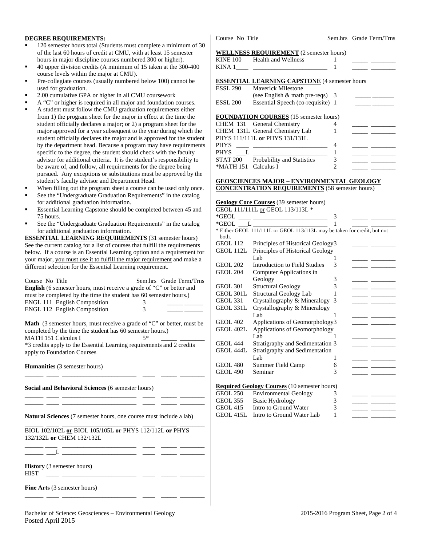#### **DEGREE REQUIREMENTS:**

- 120 semester hours total (Students must complete a minimum of 30 of the last 60 hours of credit at CMU, with at least 15 semester hours in major discipline courses numbered 300 or higher).
- 40 upper division credits (A minimum of 15 taken at the 300-400 course levels within the major at CMU).
- Pre-collegiate courses (usually numbered below 100) cannot be used for graduation.
- 2.00 cumulative GPA or higher in all CMU coursework
- A "C" or higher is required in all major and foundation courses.
- A student must follow the CMU graduation requirements either from 1) the program sheet for the major in effect at the time the student officially declares a major; or 2) a program sheet for the major approved for a year subsequent to the year during which the student officially declares the major and is approved for the student by the department head. Because a program may have requirements specific to the degree, the student should check with the faculty advisor for additional criteria. It is the student's responsibility to be aware of, and follow, all requirements for the degree being pursued. Any exceptions or substitutions must be approved by the student's faculty advisor and Department Head.
- When filling out the program sheet a course can be used only once.
- See the "Undergraduate Graduation Requirements" in the catalog for additional graduation information.
- Essential Learning Capstone should be completed between 45 and 75 hours.
- See the "Undergraduate Graduation Requirements" in the catalog for additional graduation information.

**ESSENTIAL LEARNING REQUIREMENTS** (31 semester hours) See the current catalog for a list of courses that fulfill the requirements below. If a course is an Essential Learning option and a requirement for your major, you must use it to fulfill the major requirement and make a different selection for the Essential Learning requirement.

| Course No Title<br><b>English</b> (6 semester hours, must receive a grade of "C" or better and<br>must be completed by the time the student has 60 semester hours.)<br><b>ENGL 111 English Composition</b><br>ENGL 112 English Composition                                       | Sem.hrs Grade Term/Trns<br>3<br>3 |
|----------------------------------------------------------------------------------------------------------------------------------------------------------------------------------------------------------------------------------------------------------------------------------|-----------------------------------|
| <b>Math</b> (3 semester hours, must receive a grade of "C" or better, must be<br>completed by the time the student has 60 semester hours.)<br><b>MATH 151 Calculus I</b><br>*3 credits apply to the Essential Learning requirements and 2 credits<br>apply to Foundation Courses | 5*                                |
| <b>Humanities</b> (3 semester hours)                                                                                                                                                                                                                                             |                                   |
| Social and Behavioral Sciences (6 semester hours)<br>the control of the control of the control of the control of                                                                                                                                                                 |                                   |
| <b>Natural Sciences</b> (7 semester hours, one course must include a lab)                                                                                                                                                                                                        |                                   |
| BIOL 102/102L or BIOL 105/105L or PHYS 112/112L or PHYS<br>132/132L or CHEM 132/132L                                                                                                                                                                                             |                                   |
| <u> 1989 - Johann John Stein, market fan it ferstjer fan it ferstjer fan it ferstjer fan it ferstjer fan it fers</u><br>_____ ___L _________________________ _____                                                                                                               |                                   |
| <b>History</b> (3 semester hours)<br><b>HIST</b>                                                                                                                                                                                                                                 |                                   |
| <b>Fine Arts</b> (3 semester hours)                                                                                                                                                                                                                                              |                                   |

Course No Title Sem.hrs Grade Term/Trns

#### **WELLNESS REQUIREMENT** (2 semester hours)

|          | $\frac{1}{2}$                                        |   |  |
|----------|------------------------------------------------------|---|--|
|          | KINE 100 Health and Wellness                         |   |  |
| KINA 1   |                                                      |   |  |
|          |                                                      |   |  |
|          | <b>ESSENTIAL LEARNING CAPSTONE (4 semester hours</b> |   |  |
| ESSL 290 | <b>Maverick Milestone</b>                            |   |  |
|          | (see English $\&$ math pre-reqs) 3                   |   |  |
| ESSL 200 | Essential Speech (co-requisite) 1                    |   |  |
|          |                                                      |   |  |
|          | <b>FOUNDATION COURSES</b> (15 semester hours)        |   |  |
|          | CHEM 131 General Chemistry                           |   |  |
|          | CHEM 131L General Chemistry Lab                      |   |  |
|          | PHYS 111/111L or PHYS 131/131L                       |   |  |
| PHYS     |                                                      | 4 |  |
| PHYS     |                                                      |   |  |
| STAT 200 | Probability and Statistics                           |   |  |

#### **GEOSCIENCES MAJOR – ENVIRONMENTAL GEOLOGY**

**CONCENTRATION REQUIREMENTS** (58 semester hours)

#### **Geology Core Courses** (39 semester hours) GEOL 111/111L or GEOL 113/113L \*

GEOL  $415L$  Intro to Ground Water Lab  $1$ 

\*MATH 151 Calculus I  $\frac{1}{2}$ 

| $*GEOL$          |                                                                          | 3 |  |
|------------------|--------------------------------------------------------------------------|---|--|
| *GEOL            | $\overline{\mathbf{L}}$ . The set of $\overline{\mathbf{L}}$             |   |  |
| both.            | * Either GEOL 111/111L or GEOL 113/113L may be taken for credit, but not |   |  |
| <b>GEOL 112</b>  | Principles of Historical Geology3                                        |   |  |
| GEOL 112L        | Principles of Historical Geology                                         |   |  |
|                  | Lab.                                                                     | ı |  |
| <b>GEOL 202</b>  | Introduction to Field Studies                                            | 3 |  |
| <b>GEOL 204</b>  | Computer Applications in                                                 |   |  |
|                  | Geology                                                                  | 3 |  |
| <b>GEOL 301</b>  | <b>Structural Geology</b>                                                | 3 |  |
| <b>GEOL 301L</b> | Structural Geology Lab                                                   |   |  |
| <b>GEOL 331</b>  | Crystallography & Mineralogy                                             | 3 |  |
| GEOL 331L        | Crystallography & Mineralogy                                             |   |  |
|                  | Lab.                                                                     |   |  |
| <b>GEOL 402</b>  | Applications of Geomorphology3                                           |   |  |
| GEOL 402L        | Applications of Geomorphology                                            |   |  |
|                  | Lab                                                                      | 1 |  |
| <b>GEOL 444</b>  | Stratigraphy and Sedimentation 3                                         |   |  |
| GEOL 444L        | Stratigraphy and Sedimentation                                           |   |  |
|                  | Lab.                                                                     | 1 |  |
| <b>GEOL 480</b>  | Summer Field Camp                                                        | 6 |  |
| <b>GEOL 490</b>  | Seminar                                                                  | 3 |  |
|                  |                                                                          |   |  |
|                  | <b>Required Geology Courses</b> (10 semester hours)                      |   |  |
| <b>GEOL 250</b>  | <b>Environmental Geology</b>                                             | 3 |  |
| <b>GEOL 355</b>  | <b>Basic Hydrology</b>                                                   | 3 |  |
| <b>GEOL 415</b>  | Intro to Ground Water                                                    | 3 |  |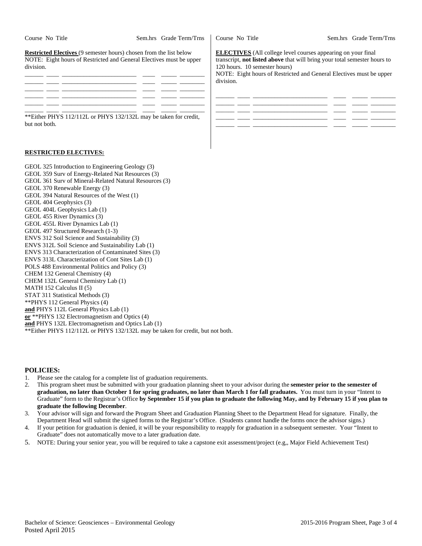| Course No Title                                                                                                                                               | Sem.hrs Grade Term/Trns | Course No Title                                                                                                                          |
|---------------------------------------------------------------------------------------------------------------------------------------------------------------|-------------------------|------------------------------------------------------------------------------------------------------------------------------------------|
| <b>Restricted Electives</b> (9 semester hours) chosen from the list below<br>NOTE: Eight hours of Restricted and General Electives must be upper<br>division. |                         | <b>ELECTIVES</b> (All college)<br>transcript, not listed above<br>120 hours. 10 semester hours<br>NOTE: Eight hours of Rest<br>division. |
| **Either PHYS 112/112L or PHYS 132/132L may be taken for credit,                                                                                              |                         |                                                                                                                                          |

but not both.

# level courses appearing on your final that will bring your total semester hours to  $\text{urs.}$ tricted and General Electives must be upper

Sem.hrs Grade Term/Trns



### **RESTRICTED ELECTIVES:**

| GEOL 325 Introduction to Engineering Geology (3)                                |
|---------------------------------------------------------------------------------|
| GEOL 359 Surv of Energy-Related Nat Resources (3)                               |
| GEOL 361 Surv of Mineral-Related Natural Resources (3)                          |
| GEOL 370 Renewable Energy (3)                                                   |
| GEOL 394 Natural Resources of the West (1)                                      |
| GEOL 404 Geophysics (3)                                                         |
| GEOL 404L Geophysics Lab (1)                                                    |
| GEOL 455 River Dynamics (3)                                                     |
| GEOL 455L River Dynamics Lab (1)                                                |
| GEOL 497 Structured Research (1-3)                                              |
| ENVS 312 Soil Science and Sustainability (3)                                    |
| ENVS 312L Soil Science and Sustainability Lab (1)                               |
| ENVS 313 Characterization of Contaminated Sites (3)                             |
| ENVS 313L Characterization of Cont Sites Lab (1)                                |
| POLS 488 Environmental Politics and Policy (3)                                  |
| CHEM 132 General Chemistry (4)                                                  |
| CHEM 132L General Chemistry Lab (1)                                             |
| MATH $152$ Calculus II $(5)$                                                    |
| STAT 311 Statistical Methods (3)                                                |
| **PHYS 112 General Physics (4)                                                  |
| and PHYS 112L General Physics Lab (1)                                           |
| or **PHYS 132 Electromagnetism and Optics (4)                                   |
| and PHYS 132L Electromagnetism and Optics Lab (1)                               |
| ** Either PHYS 112/112L or PHYS 132/132L may be taken for credit, but not both. |

### **POLICIES:**

- 1. Please see the catalog for a complete list of graduation requirements.
- 2. This program sheet must be submitted with your graduation planning sheet to your advisor during the **semester prior to the semester of graduation, no later than October 1 for spring graduates, no later than March 1 for fall graduates.** You must turn in your "Intent to Graduate" form to the Registrar's Office **by September 15 if you plan to graduate the following May, and by February 15 if you plan to graduate the following December**.
- 3. Your advisor will sign and forward the Program Sheet and Graduation Planning Sheet to the Department Head for signature. Finally, the Department Head will submit the signed forms to the Registrar's Office. (Students cannot handle the forms once the advisor signs.)
- 4. If your petition for graduation is denied, it will be your responsibility to reapply for graduation in a subsequent semester. Your "Intent to Graduate" does not automatically move to a later graduation date.
- 5. NOTE: During your senior year, you will be required to take a capstone exit assessment/project (e.g,, Major Field Achievement Test)